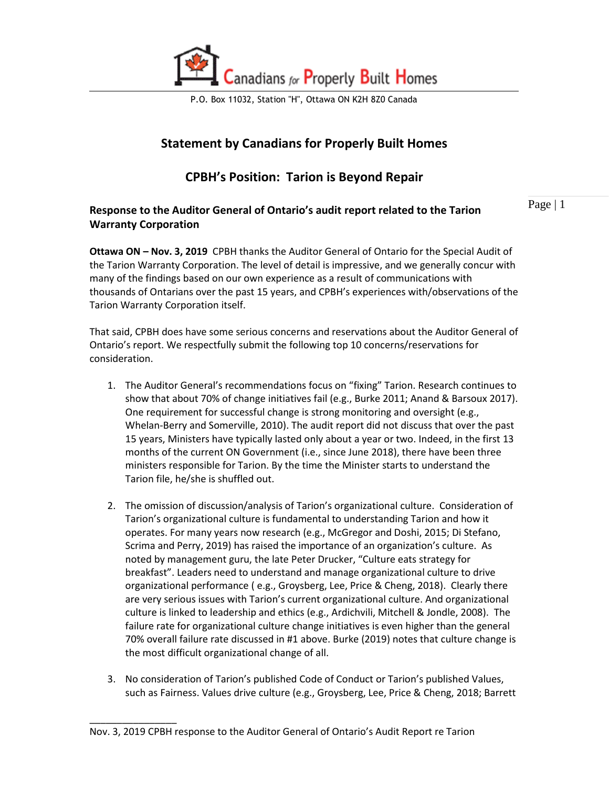

P.O. Box 11032, Station "H", Ottawa ON K2H 8Z0 Canada

# **Statement by Canadians for Properly Built Homes**

## **CPBH's Position: Tarion is Beyond Repair**

## **Response to the Auditor General of Ontario's audit report related to the Tarion Warranty Corporation**

Page | 1

**Ottawa ON – Nov. 3, 2019** CPBH thanks the Auditor General of Ontario for the Special Audit of the Tarion Warranty Corporation. The level of detail is impressive, and we generally concur with many of the findings based on our own experience as a result of communications with thousands of Ontarians over the past 15 years, and CPBH's experiences with/observations of the Tarion Warranty Corporation itself.

That said, CPBH does have some serious concerns and reservations about the Auditor General of Ontario's report. We respectfully submit the following top 10 concerns/reservations for consideration.

- 1. The Auditor General's recommendations focus on "fixing" Tarion. Research continues to show that about 70% of change initiatives fail (e.g., Burke 2011; Anand & Barsoux 2017). One requirement for successful change is strong monitoring and oversight (e.g., Whelan-Berry and Somerville, 2010). The audit report did not discuss that over the past 15 years, Ministers have typically lasted only about a year or two. Indeed, in the first 13 months of the current ON Government (i.e., since June 2018), there have been three ministers responsible for Tarion. By the time the Minister starts to understand the Tarion file, he/she is shuffled out.
- 2. The omission of discussion/analysis of Tarion's organizational culture. Consideration of Tarion's organizational culture is fundamental to understanding Tarion and how it operates. For many years now research (e.g., McGregor and Doshi, 2015; Di Stefano, Scrima and Perry, 2019) has raised the importance of an organization's culture. As noted by management guru, the late Peter Drucker, "Culture eats strategy for breakfast". Leaders need to understand and manage organizational culture to drive organizational performance ( e.g., Groysberg, Lee, Price & Cheng, 2018). Clearly there are very serious issues with Tarion's current organizational culture. And organizational culture is linked to leadership and ethics (e.g., Ardichvili, Mitchell & Jondle, 2008). The failure rate for organizational culture change initiatives is even higher than the general 70% overall failure rate discussed in #1 above. Burke (2019) notes that culture change is the most difficult organizational change of all.
- 3. No consideration of Tarion's published Code of Conduct or Tarion's published Values, such as Fairness. Values drive culture (e.g., Groysberg, Lee, Price & Cheng, 2018; Barrett

\_\_\_\_\_\_\_\_\_\_\_\_\_\_\_\_

Nov. 3, 2019 CPBH response to the Auditor General of Ontario's Audit Report re Tarion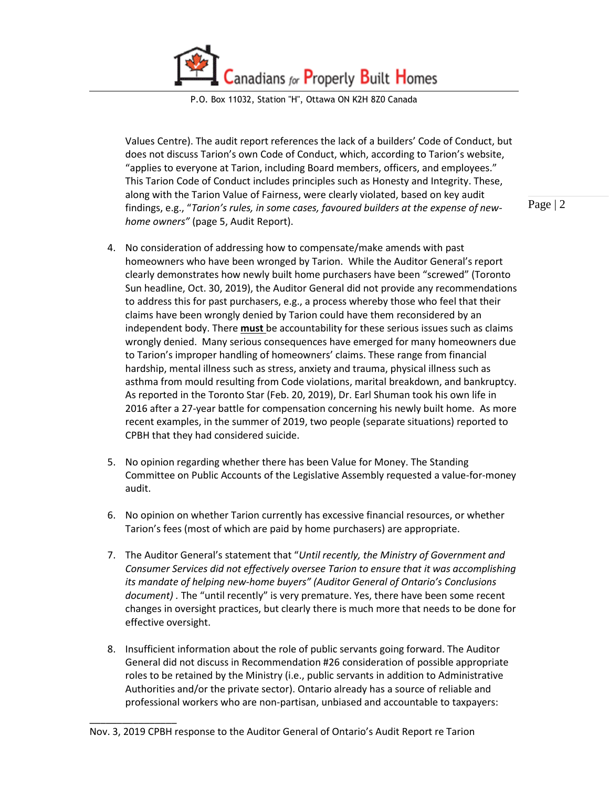Canadians for Properly Built Homes

P.O. Box 11032, Station "H", Ottawa ON K2H 8Z0 Canada

Values Centre). The audit report references the lack of a builders' Code of Conduct, but does not discuss Tarion's own Code of Conduct, which, according to Tarion's website, "applies to everyone at Tarion, including Board members, officers, and employees." This Tarion Code of Conduct includes principles such as Honesty and Integrity. These, along with the Tarion Value of Fairness, were clearly violated, based on key audit findings, e.g., "*Tarion's rules, in some cases, favoured builders at the expense of newhome owners"* (page 5, Audit Report).

- 4. No consideration of addressing how to compensate/make amends with past homeowners who have been wronged by Tarion. While the Auditor General's report clearly demonstrates how newly built home purchasers have been "screwed" (Toronto Sun headline, Oct. 30, 2019), the Auditor General did not provide any recommendations to address this for past purchasers, e.g., a process whereby those who feel that their claims have been wrongly denied by Tarion could have them reconsidered by an independent body. There **must** be accountability for these serious issues such as claims wrongly denied. Many serious consequences have emerged for many homeowners due to Tarion's improper handling of homeowners' claims. These range from financial hardship, mental illness such as stress, anxiety and trauma, physical illness such as asthma from mould resulting from Code violations, marital breakdown, and bankruptcy. As reported in the Toronto Star (Feb. 20, 2019), Dr. Earl Shuman took his own life in 2016 after a 27-year battle for compensation concerning his newly built home. As more recent examples, in the summer of 2019, two people (separate situations) reported to CPBH that they had considered suicide.
- 5. No opinion regarding whether there has been Value for Money. The Standing Committee on Public Accounts of the Legislative Assembly requested a value-for-money audit.
- 6. No opinion on whether Tarion currently has excessive financial resources, or whether Tarion's fees (most of which are paid by home purchasers) are appropriate.
- 7. The Auditor General's statement that "*Until recently, the Ministry of Government and Consumer Services did not effectively oversee Tarion to ensure that it was accomplishing its mandate of helping new-home buyers" (Auditor General of Ontario's Conclusions document) .* The "until recently" is very premature. Yes, there have been some recent changes in oversight practices, but clearly there is much more that needs to be done for effective oversight.
- 8. Insufficient information about the role of public servants going forward. The Auditor General did not discuss in Recommendation #26 consideration of possible appropriate roles to be retained by the Ministry (i.e., public servants in addition to Administrative Authorities and/or the private sector). Ontario already has a source of reliable and professional workers who are non-partisan, unbiased and accountable to taxpayers:

\_\_\_\_\_\_\_\_\_\_\_\_\_\_\_\_

Page | 2

Nov. 3, 2019 CPBH response to the Auditor General of Ontario's Audit Report re Tarion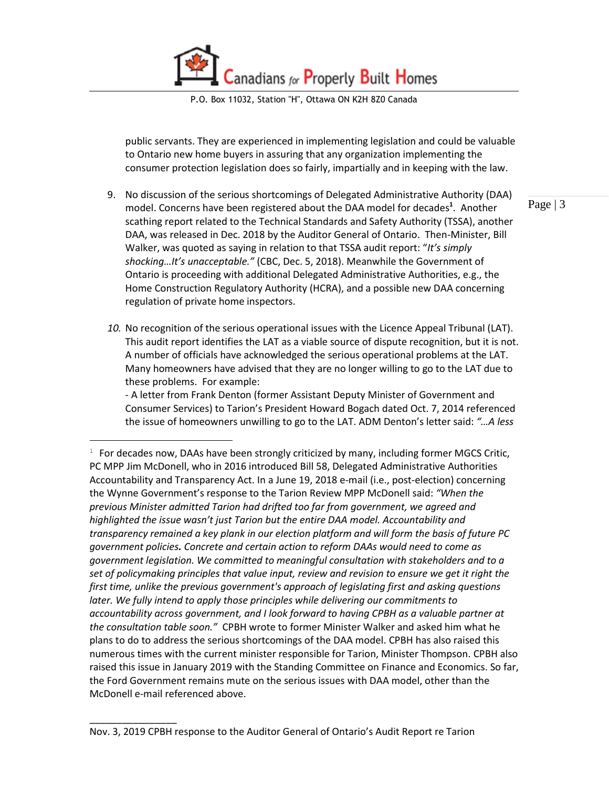anadians for Properly Built Homes

P.O. Box 11032, Station "H", Ottawa ON K2H 8Z0 Canada

public servants. They are experienced in implementing legislation and could be valuable to Ontario new home buyers in assuring that any organization implementing the consumer protection legislation does so fairly, impartially and in keeping with the law.

- 9. No discussion of the serious shortcomings of Delegated Administrative Authority (DAA) model. Concerns have been registered about the DAA model for decades**<sup>1</sup>** .Another scathing report related to the Technical Standards and Safety Authority (TSSA), another DAA, was released in Dec. 2018 by the Auditor General of Ontario. Then-Minister, Bill Walker, was quoted as saying in relation to that TSSA audit report: "*It's simply shocking…It's unacceptable."* (CBC, Dec. 5, 2018). Meanwhile the Government of Ontario is proceeding with additional Delegated Administrative Authorities, e.g., the Home Construction Regulatory Authority (HCRA), and a possible new DAA concerning regulation of private home inspectors.
- *10.* No recognition of the serious operational issues with the Licence Appeal Tribunal (LAT). This audit report identifies the LAT as a viable source of dispute recognition, but it is not. A number of officials have acknowledged the serious operational problems at the LAT. Many homeowners have advised that they are no longer willing to go to the LAT due to these problems. For example:

- A letter from Frank Denton (former Assistant Deputy Minister of Government and Consumer Services) to Tarion's President Howard Bogach dated Oct. 7, 2014 referenced the issue of homeowners unwilling to go to the LAT. ADM Denton's letter said: *"…A less* 

\_\_\_\_\_\_\_\_\_\_\_\_\_\_\_\_

 $\overline{a}$ 

Page | 3

 $1$  For decades now, DAAs have been strongly criticized by many, including former MGCS Critic, PC MPP Jim McDonell, who in 2016 introduced Bill 58, Delegated Administrative Authorities Accountability and Transparency Act. In a June 19, 2018 e-mail (i.e., post-election) concerning the Wynne Government's response to the Tarion Review MPP McDonell said: *"When the previous Minister admitted Tarion had drifted too far from government, we agreed and highlighted the issue wasn't just Tarion but the entire DAA model. Accountability and transparency remained a key plank in our election platform and will form the basis of future PC government policies. Concrete and certain action to reform DAAs would need to come as government legislation. We committed to meaningful consultation with stakeholders and to a set of policymaking principles that value input, review and revision to ensure we get it right the first time, unlike the previous government's approach of legislating first and asking questions later. We fully intend to apply those principles while delivering our commitments to accountability across government, and I look forward to having CPBH as a valuable partner at the consultation table soon."* CPBH wrote to former Minister Walker and asked him what he plans to do to address the serious shortcomings of the DAA model. CPBH has also raised this numerous times with the current minister responsible for Tarion, Minister Thompson. CPBH also raised this issue in January 2019 with the Standing Committee on Finance and Economics. So far, the Ford Government remains mute on the serious issues with DAA model, other than the McDonell e-mail referenced above.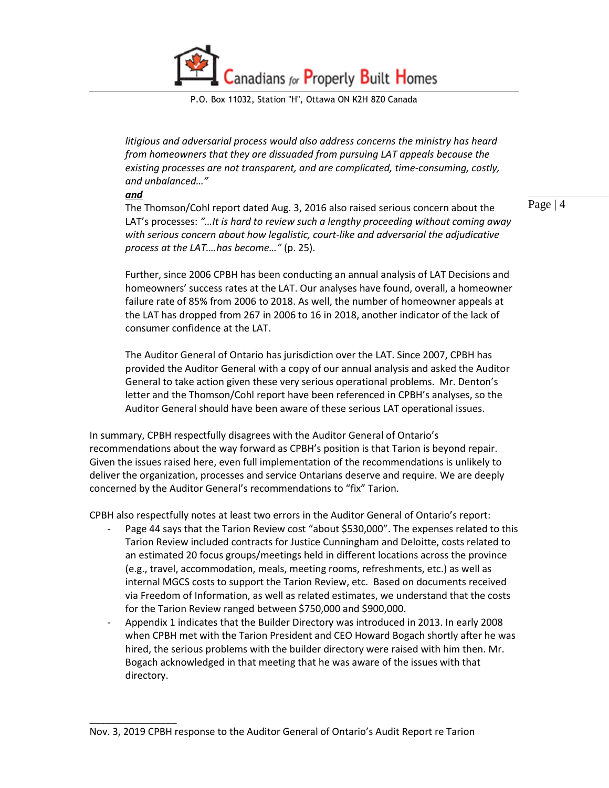Canadians for Properly Built Homes

P.O. Box 11032, Station "H", Ottawa ON K2H 8Z0 Canada

*litigious and adversarial process would also address concerns the ministry has heard from homeowners that they are dissuaded from pursuing LAT appeals because the existing processes are not transparent, and are complicated, time-consuming, costly, and unbalanced…"* 

*and* 

\_\_\_\_\_\_\_\_\_\_\_\_\_\_\_\_

The Thomson/Cohl report dated Aug. 3, 2016 also raised serious concern about the LAT's processes: *"…It is hard to review such a lengthy proceeding without coming away with serious concern about how legalistic, court-like and adversarial the adjudicative process at the LAT….has become…"* (p. 25).

Page | 4

Further, since 2006 CPBH has been conducting an annual analysis of LAT Decisions and homeowners' success rates at the LAT. Our analyses have found, overall, a homeowner failure rate of 85% from 2006 to 2018. As well, the number of homeowner appeals at the LAT has dropped from 267 in 2006 to 16 in 2018, another indicator of the lack of consumer confidence at the LAT.

The Auditor General of Ontario has jurisdiction over the LAT. Since 2007, CPBH has provided the Auditor General with a copy of our annual analysis and asked the Auditor General to take action given these very serious operational problems. Mr. Denton's letter and the Thomson/Cohl report have been referenced in CPBH's analyses, so the Auditor General should have been aware of these serious LAT operational issues.

In summary, CPBH respectfully disagrees with the Auditor General of Ontario's recommendations about the way forward as CPBH's position is that Tarion is beyond repair. Given the issues raised here, even full implementation of the recommendations is unlikely to deliver the organization, processes and service Ontarians deserve and require. We are deeply concerned by the Auditor General's recommendations to "fix" Tarion.

CPBH also respectfully notes at least two errors in the Auditor General of Ontario's report:

- Page 44 says that the Tarion Review cost "about \$530,000". The expenses related to this Tarion Review included contracts for Justice Cunningham and Deloitte, costs related to an estimated 20 focus groups/meetings held in different locations across the province (e.g., travel, accommodation, meals, meeting rooms, refreshments, etc.) as well as internal MGCS costs to support the Tarion Review, etc. Based on documents received via Freedom of Information, as well as related estimates, we understand that the costs for the Tarion Review ranged between \$750,000 and \$900,000.
- Appendix 1 indicates that the Builder Directory was introduced in 2013. In early 2008 when CPBH met with the Tarion President and CEO Howard Bogach shortly after he was hired, the serious problems with the builder directory were raised with him then. Mr. Bogach acknowledged in that meeting that he was aware of the issues with that directory.

Nov. 3, 2019 CPBH response to the Auditor General of Ontario's Audit Report re Tarion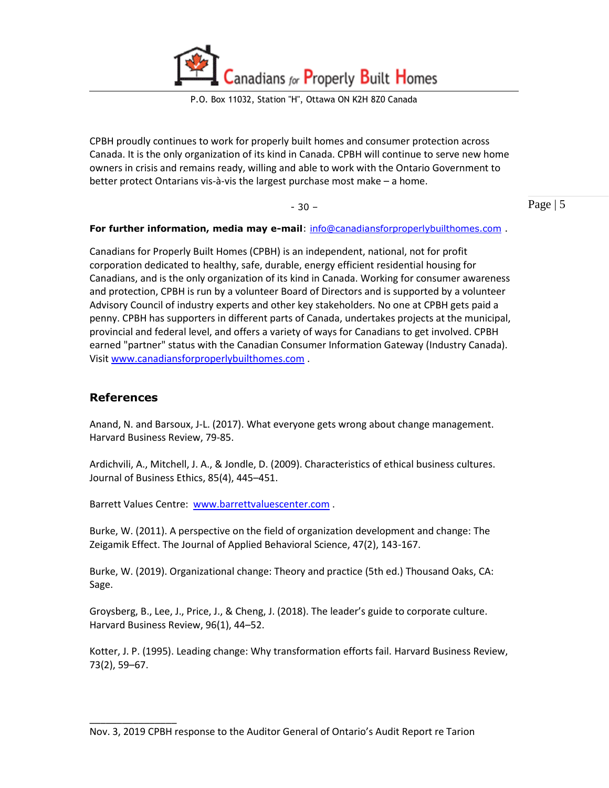anadians for Properly Built Homes

P.O. Box 11032, Station "H", Ottawa ON K2H 8Z0 Canada

CPBH proudly continues to work for properly built homes and consumer protection across Canada. It is the only organization of its kind in Canada. CPBH will continue to serve new home owners in crisis and remains ready, willing and able to work with the Ontario Government to better protect Ontarians vis-à-vis the largest purchase most make – a home.

- 30 –

Page | 5

#### **For further information, media may e-mail**: [info@canadiansforproperlybuilthomes.com](mailto:info@canadiansforproperlybuilthomes.com) .

Canadians for Properly Built Homes (CPBH) is an independent, national, not for profit corporation dedicated to healthy, safe, durable, energy efficient residential housing for Canadians, and is the only organization of its kind in Canada. Working for consumer awareness and protection, CPBH is run by a volunteer Board of Directors and is supported by a volunteer Advisory Council of industry experts and other key stakeholders. No one at CPBH gets paid a penny. CPBH has supporters in different parts of Canada, undertakes projects at the municipal, provincial and federal level, and offers a variety of ways for Canadians to get involved. CPBH earned "partner" status with the Canadian Consumer Information Gateway (Industry Canada). Visit [www.canadiansforproperlybuilthomes.com](http://www.canadiansforproperlybuilthomes.com/) .

### **References**

\_\_\_\_\_\_\_\_\_\_\_\_\_\_\_\_

Anand, N. and Barsoux, J-L. (2017). What everyone gets wrong about change management. Harvard Business Review, 79-85.

Ardichvili, A., Mitchell, J. A., & Jondle, D. (2009). Characteristics of ethical business cultures. Journal of Business Ethics, 85(4), 445–451.

Barrett Values Centre: [www.barrettvaluescenter.com](http://www.barrettvaluescenter.com/) .

Burke, W. (2011). A perspective on the field of organization development and change: The Zeigamik Effect. The Journal of Applied Behavioral Science, 47(2), 143-167.

Burke, W. (2019). Organizational change: Theory and practice (5th ed.) Thousand Oaks, CA: Sage.

Groysberg, B., Lee, J., Price, J., & Cheng, J. (2018). The leader's guide to corporate culture. Harvard Business Review, 96(1), 44–52.

Kotter, J. P. (1995). Leading change: Why transformation efforts fail. Harvard Business Review, 73(2), 59–67.

Nov. 3, 2019 CPBH response to the Auditor General of Ontario's Audit Report re Tarion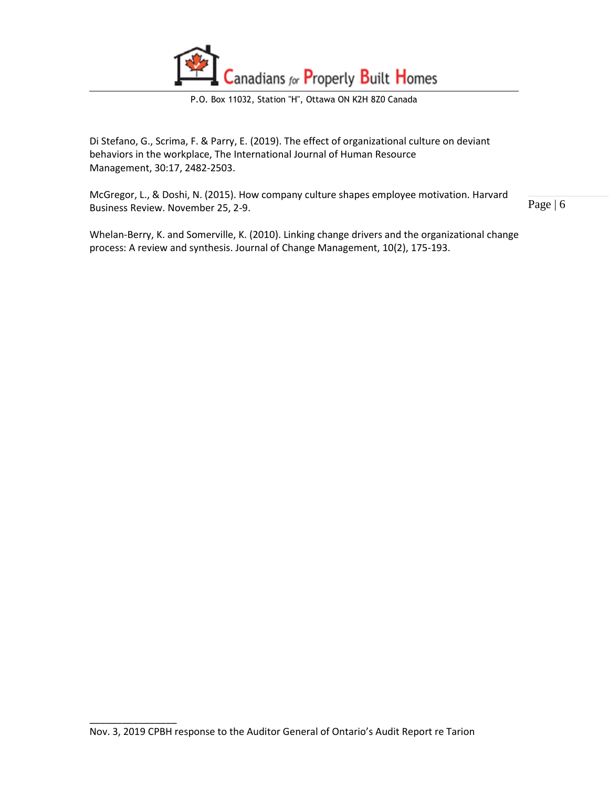

P.O. Box 11032, Station "H", Ottawa ON K2H 8Z0 Canada

Di Stefano, G., Scrima, F. & Parry, E. (2019). The effect of organizational culture on deviant behaviors in the workplace, The International Journal of Human Resource Management, 30:17, 2482-2503.

McGregor, L., & Doshi, N. (2015). How company culture shapes employee motivation. Harvard Business Review. November 25, 2-9.

Page | 6

Whelan-Berry, K. and Somerville, K. (2010). Linking change drivers and the organizational change process: A review and synthesis. Journal of Change Management, 10(2), 175-193.

\_\_\_\_\_\_\_\_\_\_\_\_\_\_\_\_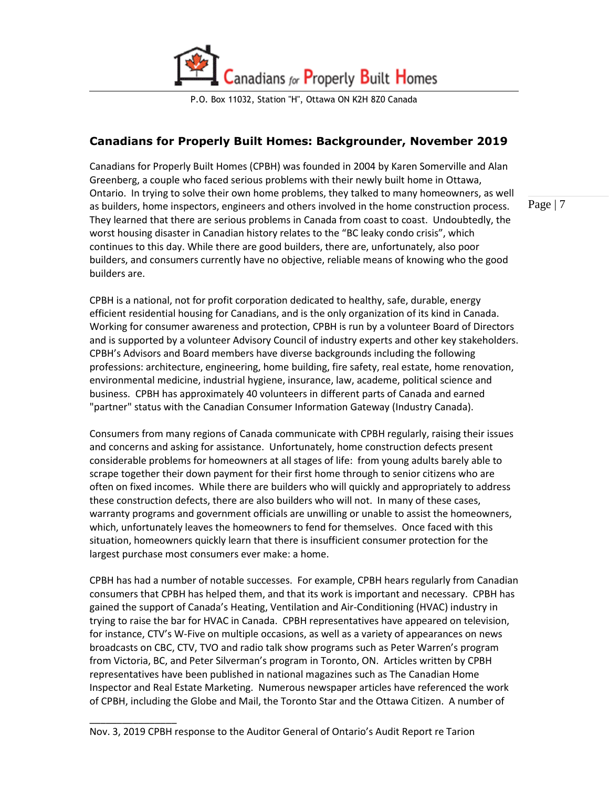

P.O. Box 11032, Station "H", Ottawa ON K2H 8Z0 Canada

## **Canadians for Properly Built Homes: Backgrounder, November 2019**

Canadians for Properly Built Homes (CPBH) was founded in 2004 by Karen Somerville and Alan Greenberg, a couple who faced serious problems with their newly built home in Ottawa, Ontario. In trying to solve their own home problems, they talked to many homeowners, as well as builders, home inspectors, engineers and others involved in the home construction process. They learned that there are serious problems in Canada from coast to coast. Undoubtedly, the worst housing disaster in Canadian history relates to the "BC leaky condo crisis", which continues to this day. While there are good builders, there are, unfortunately, also poor builders, and consumers currently have no objective, reliable means of knowing who the good builders are.

Page | 7

CPBH is a national, not for profit corporation dedicated to healthy, safe, durable, energy efficient residential housing for Canadians, and is the only organization of its kind in Canada. Working for consumer awareness and protection, CPBH is run by a volunteer Board of Directors and is supported by a volunteer Advisory Council of industry experts and other key stakeholders. CPBH's Advisors and Board members have diverse backgrounds including the following professions: architecture, engineering, home building, fire safety, real estate, home renovation, environmental medicine, industrial hygiene, insurance, law, academe, political science and business. CPBH has approximately 40 volunteers in different parts of Canada and earned "partner" status with the Canadian Consumer Information Gateway (Industry Canada).

Consumers from many regions of Canada communicate with CPBH regularly, raising their issues and concerns and asking for assistance. Unfortunately, home construction defects present considerable problems for homeowners at all stages of life: from young adults barely able to scrape together their down payment for their first home through to senior citizens who are often on fixed incomes. While there are builders who will quickly and appropriately to address these construction defects, there are also builders who will not. In many of these cases, warranty programs and government officials are unwilling or unable to assist the homeowners, which, unfortunately leaves the homeowners to fend for themselves. Once faced with this situation, homeowners quickly learn that there is insufficient consumer protection for the largest purchase most consumers ever make: a home.

CPBH has had a number of notable successes. For example, CPBH hears regularly from Canadian consumers that CPBH has helped them, and that its work is important and necessary. CPBH has gained the support of Canada's Heating, Ventilation and Air-Conditioning (HVAC) industry in trying to raise the bar for HVAC in Canada. CPBH representatives have appeared on television, for instance, CTV's W-Five on multiple occasions, as well as a variety of appearances on news broadcasts on CBC, CTV, TVO and radio talk show programs such as Peter Warren's program from Victoria, BC, and Peter Silverman's program in Toronto, ON. Articles written by CPBH representatives have been published in national magazines such as The Canadian Home Inspector and Real Estate Marketing. Numerous newspaper articles have referenced the work of CPBH, including the Globe and Mail, the Toronto Star and the Ottawa Citizen. A number of

\_\_\_\_\_\_\_\_\_\_\_\_\_\_\_\_

Nov. 3, 2019 CPBH response to the Auditor General of Ontario's Audit Report re Tarion